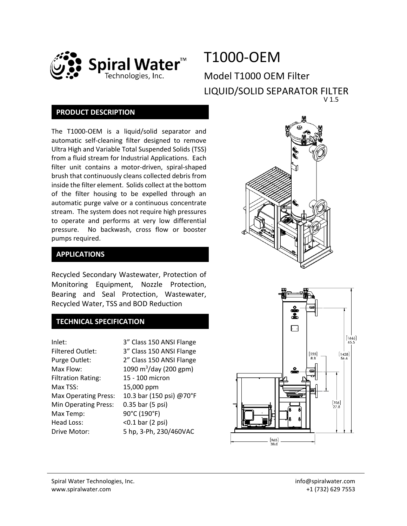

# T1000-OEM Model T1000 OEM Filter LIQUID/SOLID SEPARATOR FILTER V 1.5

### **PRODUCT DESCRIPTION**

The T1000-OEM is a liquid/solid separator and automatic self-cleaning filter designed to remove Ultra High and Variable Total Suspended Solids (TSS) from a fluid stream for Industrial Applications. Each filter unit contains a motor-driven, spiral-shaped brush that continuously cleans collected debris from inside the filter element. Solids collect at the bottom of the filter housing to be expelled through an automatic purge valve or a continuous concentrate stream. The system does not require high pressures to operate and performs at very low differential pressure. No backwash, cross flow or booster pumps required.



Recycled Secondary Wastewater, Protection of Monitoring Equipment, Nozzle Protection, Bearing and Seal Protection, Wastewater, Recycled Water, TSS and BOD Reduction

## **TECHNICAL SPECIFICATION**

| Inlet:                      | 3" Class 150 ANSI Flange           |  |
|-----------------------------|------------------------------------|--|
| <b>Filtered Outlet:</b>     | 3" Class 150 ANSI Flange           |  |
| Purge Outlet:               | 2" Class 150 ANSI Flange           |  |
| Max Flow:                   | 1090 m <sup>3</sup> /day (200 gpm) |  |
| <b>Filtration Rating:</b>   | 15 - 100 micron                    |  |
| Max TSS:                    | 15,000 ppm                         |  |
| <b>Max Operating Press:</b> | 10.3 bar (150 psi) @70°F           |  |
| <b>Min Operating Press:</b> | 0.35 bar (5 psi)                   |  |
| Max Temp:                   | 90°C (190°F)                       |  |
| Head Loss:                  | $<$ 0.1 bar (2 psi)                |  |
| Drive Motor:                | 5 hp, 3-Ph, 230/460VAC             |  |